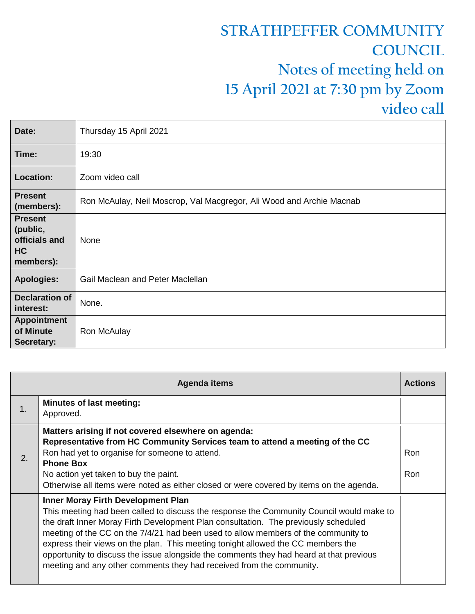## **STRATHPEFFER COMMUNITY COUNCIL Notes of meeting held on 15 April 2021 at 7:30 pm by Zoom video call**

| Date:                                                                 | Thursday 15 April 2021                                               |
|-----------------------------------------------------------------------|----------------------------------------------------------------------|
| Time:                                                                 | 19:30                                                                |
| <b>Location:</b>                                                      | Zoom video call                                                      |
| <b>Present</b><br>(members):                                          | Ron McAulay, Neil Moscrop, Val Macgregor, Ali Wood and Archie Macnab |
| <b>Present</b><br>(public,<br>officials and<br><b>HC</b><br>members): | None                                                                 |
| <b>Apologies:</b>                                                     | Gail Maclean and Peter Maclellan                                     |
| <b>Declaration of</b><br>interest:                                    | None.                                                                |
| <b>Appointment</b><br>of Minute<br>Secretary:                         | Ron McAulay                                                          |

|    | Agenda items                                                                                                                                                                                                                                                                                                                                                                                                                                                                                                                                                              | <b>Actions</b>    |
|----|---------------------------------------------------------------------------------------------------------------------------------------------------------------------------------------------------------------------------------------------------------------------------------------------------------------------------------------------------------------------------------------------------------------------------------------------------------------------------------------------------------------------------------------------------------------------------|-------------------|
| 1. | <b>Minutes of last meeting:</b><br>Approved.                                                                                                                                                                                                                                                                                                                                                                                                                                                                                                                              |                   |
| 2. | Matters arising if not covered elsewhere on agenda:<br>Representative from HC Community Services team to attend a meeting of the CC<br>Ron had yet to organise for someone to attend.<br><b>Phone Box</b><br>No action yet taken to buy the paint.<br>Otherwise all items were noted as either closed or were covered by items on the agenda.                                                                                                                                                                                                                             | Ron<br><b>Ron</b> |
|    | <b>Inner Moray Firth Development Plan</b><br>This meeting had been called to discuss the response the Community Council would make to<br>the draft Inner Moray Firth Development Plan consultation. The previously scheduled<br>meeting of the CC on the 7/4/21 had been used to allow members of the community to<br>express their views on the plan. This meeting tonight allowed the CC members the<br>opportunity to discuss the issue alongside the comments they had heard at that previous<br>meeting and any other comments they had received from the community. |                   |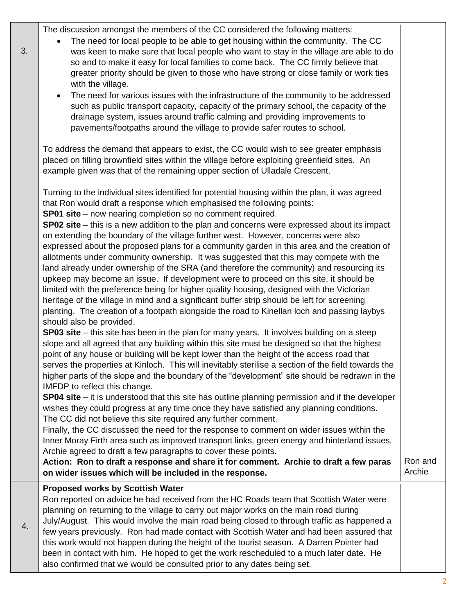The discussion amongst the members of the CC considered the following matters:

- The need for local people to be able to get housing within the community. The CC was keen to make sure that local people who want to stay in the village are able to do so and to make it easy for local families to come back. The CC firmly believe that greater priority should be given to those who have strong or close family or work ties with the village.
- The need for various issues with the infrastructure of the community to be addressed such as public transport capacity, capacity of the primary school, the capacity of the drainage system, issues around traffic calming and providing improvements to pavements/footpaths around the village to provide safer routes to school.

To address the demand that appears to exist, the CC would wish to see greater emphasis placed on filling brownfield sites within the village before exploiting greenfield sites. An example given was that of the remaining upper section of Ulladale Crescent.

Turning to the individual sites identified for potential housing within the plan, it was agreed that Ron would draft a response which emphasised the following points: **SP01 site** – now nearing completion so no comment required.

**SP02 site** – this is a new addition to the plan and concerns were expressed about its impact on extending the boundary of the village further west. However, concerns were also expressed about the proposed plans for a community garden in this area and the creation of allotments under community ownership. It was suggested that this may compete with the land already under ownership of the SRA (and therefore the community) and resourcing its upkeep may become an issue. If development were to proceed on this site, it should be limited with the preference being for higher quality housing, designed with the Victorian heritage of the village in mind and a significant buffer strip should be left for screening planting. The creation of a footpath alongside the road to Kinellan loch and passing laybys should also be provided.

**SP03 site** – this site has been in the plan for many years. It involves building on a steep slope and all agreed that any building within this site must be designed so that the highest point of any house or building will be kept lower than the height of the access road that serves the properties at Kinloch. This will inevitably sterilise a section of the field towards the higher parts of the slope and the boundary of the "development" site should be redrawn in the IMFDP to reflect this change.

**SP04 site** – it is understood that this site has outline planning permission and if the developer wishes they could progress at any time once they have satisfied any planning conditions. The CC did not believe this site required any further comment.

Finally, the CC discussed the need for the response to comment on wider issues within the Inner Moray Firth area such as improved transport links, green energy and hinterland issues. Archie agreed to draft a few paragraphs to cover these points.

**Action: Ron to draft a response and share it for comment. Archie to draft a few paras on wider issues which will be included in the response.** Ron and Archie

## **Proposed works by Scottish Water**

4.

3.

Ron reported on advice he had received from the HC Roads team that Scottish Water were planning on returning to the village to carry out major works on the main road during July/August. This would involve the main road being closed to through traffic as happened a few years previously. Ron had made contact with Scottish Water and had been assured that this work would not happen during the height of the tourist season. A Darren Pointer had been in contact with him. He hoped to get the work rescheduled to a much later date. He also confirmed that we would be consulted prior to any dates being set.

2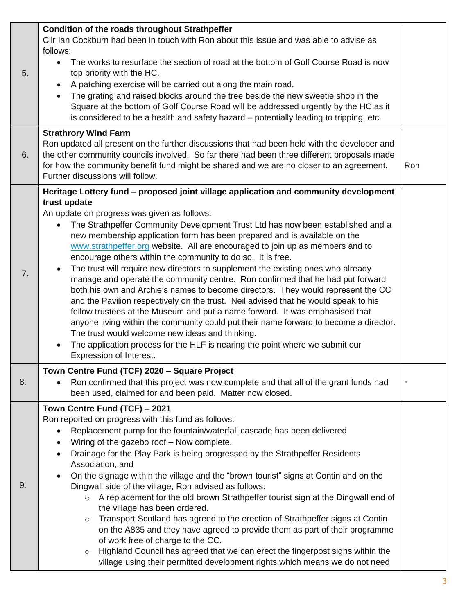| 5. | <b>Condition of the roads throughout Strathpeffer</b><br>CIIr Ian Cockburn had been in touch with Ron about this issue and was able to advise as<br>follows:<br>The works to resurface the section of road at the bottom of Golf Course Road is now<br>$\bullet$<br>top priority with the HC.<br>A patching exercise will be carried out along the main road.<br>$\bullet$<br>The grating and raised blocks around the tree beside the new sweetie shop in the<br>$\bullet$<br>Square at the bottom of Golf Course Road will be addressed urgently by the HC as it<br>is considered to be a health and safety hazard - potentially leading to tripping, etc.                                                                                                                                                                                                                                                                                                                                                                                                                                                                                                                          |     |
|----|---------------------------------------------------------------------------------------------------------------------------------------------------------------------------------------------------------------------------------------------------------------------------------------------------------------------------------------------------------------------------------------------------------------------------------------------------------------------------------------------------------------------------------------------------------------------------------------------------------------------------------------------------------------------------------------------------------------------------------------------------------------------------------------------------------------------------------------------------------------------------------------------------------------------------------------------------------------------------------------------------------------------------------------------------------------------------------------------------------------------------------------------------------------------------------------|-----|
| 6. | <b>Strathrory Wind Farm</b><br>Ron updated all present on the further discussions that had been held with the developer and<br>the other community councils involved. So far there had been three different proposals made<br>for how the community benefit fund might be shared and we are no closer to an agreement.<br>Further discussions will follow.                                                                                                                                                                                                                                                                                                                                                                                                                                                                                                                                                                                                                                                                                                                                                                                                                            | Ron |
| 7. | Heritage Lottery fund - proposed joint village application and community development<br>trust update<br>An update on progress was given as follows:<br>The Strathpeffer Community Development Trust Ltd has now been established and a<br>$\bullet$<br>new membership application form has been prepared and is available on the<br>www.strathpeffer.org website. All are encouraged to join up as members and to<br>encourage others within the community to do so. It is free.<br>The trust will require new directors to supplement the existing ones who already<br>manage and operate the community centre. Ron confirmed that he had put forward<br>both his own and Archie's names to become directors. They would represent the CC<br>and the Pavilion respectively on the trust. Neil advised that he would speak to his<br>fellow trustees at the Museum and put a name forward. It was emphasised that<br>anyone living within the community could put their name forward to become a director.<br>The trust would welcome new ideas and thinking.<br>The application process for the HLF is nearing the point where we submit our<br>$\bullet$<br>Expression of Interest. |     |
| 8. | Town Centre Fund (TCF) 2020 - Square Project<br>Ron confirmed that this project was now complete and that all of the grant funds had<br>been used, claimed for and been paid. Matter now closed.                                                                                                                                                                                                                                                                                                                                                                                                                                                                                                                                                                                                                                                                                                                                                                                                                                                                                                                                                                                      |     |
| 9. | Town Centre Fund (TCF) - 2021<br>Ron reported on progress with this fund as follows:<br>Replacement pump for the fountain/waterfall cascade has been delivered<br>$\bullet$<br>Wiring of the gazebo roof - Now complete.<br>$\bullet$<br>Drainage for the Play Park is being progressed by the Strathpeffer Residents<br>$\bullet$<br>Association, and<br>On the signage within the village and the "brown tourist" signs at Contin and on the<br>$\bullet$<br>Dingwall side of the village, Ron advised as follows:<br>A replacement for the old brown Strathpeffer tourist sign at the Dingwall end of<br>$\circ$<br>the village has been ordered.<br>Transport Scotland has agreed to the erection of Strathpeffer signs at Contin<br>$\circ$<br>on the A835 and they have agreed to provide them as part of their programme<br>of work free of charge to the CC.<br>Highland Council has agreed that we can erect the fingerpost signs within the<br>$\circ$<br>village using their permitted development rights which means we do not need                                                                                                                                       |     |